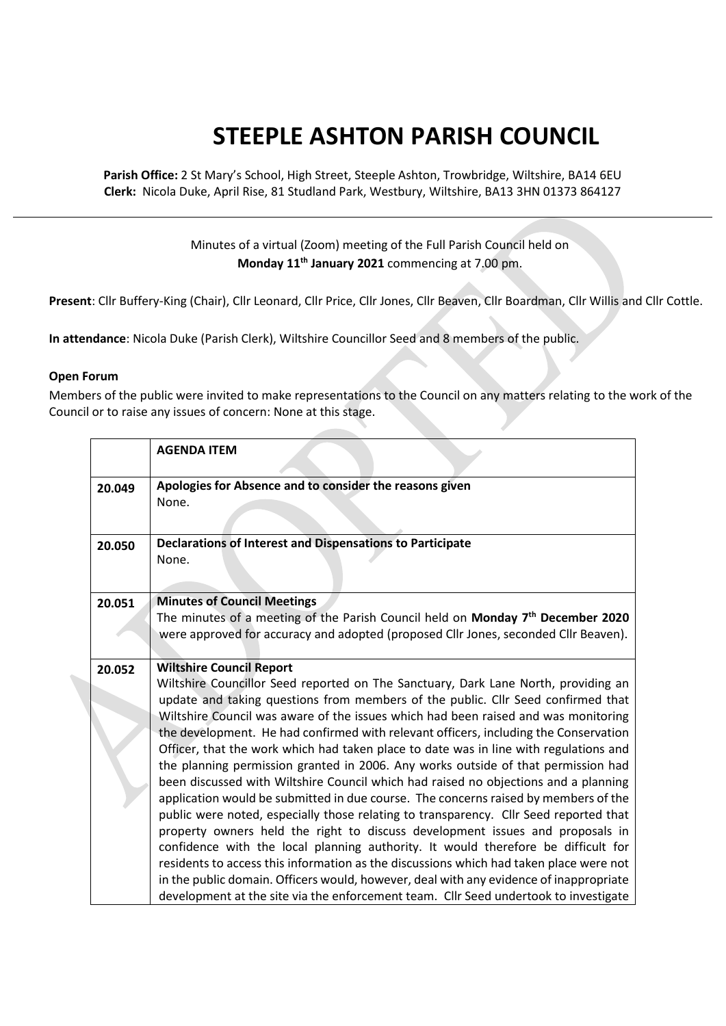## **STEEPLE ASHTON PARISH COUNCIL**

**Parish Office:** 2 St Mary's School, High Street, Steeple Ashton, Trowbridge, Wiltshire, BA14 6EU **Clerk:** Nicola Duke, April Rise, 81 Studland Park, Westbury, Wiltshire, BA13 3HN 01373 864127

> Minutes of a virtual (Zoom) meeting of the Full Parish Council held on **Monday 11th January 2021** commencing at 7.00 pm.

**Present**: Cllr Buffery-King (Chair), Cllr Leonard, Cllr Price, Cllr Jones, Cllr Beaven, Cllr Boardman, Cllr Willis and Cllr Cottle.

**In attendance**: Nicola Duke (Parish Clerk), Wiltshire Councillor Seed and 8 members of the public.

## **Open Forum**

Members of the public were invited to make representations to the Council on any matters relating to the work of the Council or to raise any issues of concern: None at this stage.

|        | <b>AGENDA ITEM</b>                                                                                                                                                                                                                                                                                                                                                                                                                                                                                                                                                                                                                                                                                                                                                                                                                                                                                                                                                                                                                                                                                                                                                                                                                                                                             |
|--------|------------------------------------------------------------------------------------------------------------------------------------------------------------------------------------------------------------------------------------------------------------------------------------------------------------------------------------------------------------------------------------------------------------------------------------------------------------------------------------------------------------------------------------------------------------------------------------------------------------------------------------------------------------------------------------------------------------------------------------------------------------------------------------------------------------------------------------------------------------------------------------------------------------------------------------------------------------------------------------------------------------------------------------------------------------------------------------------------------------------------------------------------------------------------------------------------------------------------------------------------------------------------------------------------|
| 20.049 | Apologies for Absence and to consider the reasons given<br>None.                                                                                                                                                                                                                                                                                                                                                                                                                                                                                                                                                                                                                                                                                                                                                                                                                                                                                                                                                                                                                                                                                                                                                                                                                               |
| 20.050 | <b>Declarations of Interest and Dispensations to Participate</b><br>None.                                                                                                                                                                                                                                                                                                                                                                                                                                                                                                                                                                                                                                                                                                                                                                                                                                                                                                                                                                                                                                                                                                                                                                                                                      |
| 20.051 | <b>Minutes of Council Meetings</b><br>The minutes of a meeting of the Parish Council held on Monday 7 <sup>th</sup> December 2020<br>were approved for accuracy and adopted (proposed Cllr Jones, seconded Cllr Beaven).                                                                                                                                                                                                                                                                                                                                                                                                                                                                                                                                                                                                                                                                                                                                                                                                                                                                                                                                                                                                                                                                       |
| 20.052 | <b>Wiltshire Council Report</b><br>Wiltshire Councillor Seed reported on The Sanctuary, Dark Lane North, providing an<br>update and taking questions from members of the public. Cllr Seed confirmed that<br>Wiltshire Council was aware of the issues which had been raised and was monitoring<br>the development. He had confirmed with relevant officers, including the Conservation<br>Officer, that the work which had taken place to date was in line with regulations and<br>the planning permission granted in 2006. Any works outside of that permission had<br>been discussed with Wiltshire Council which had raised no objections and a planning<br>application would be submitted in due course. The concerns raised by members of the<br>public were noted, especially those relating to transparency. Cllr Seed reported that<br>property owners held the right to discuss development issues and proposals in<br>confidence with the local planning authority. It would therefore be difficult for<br>residents to access this information as the discussions which had taken place were not<br>in the public domain. Officers would, however, deal with any evidence of inappropriate<br>development at the site via the enforcement team. Cllr Seed undertook to investigate |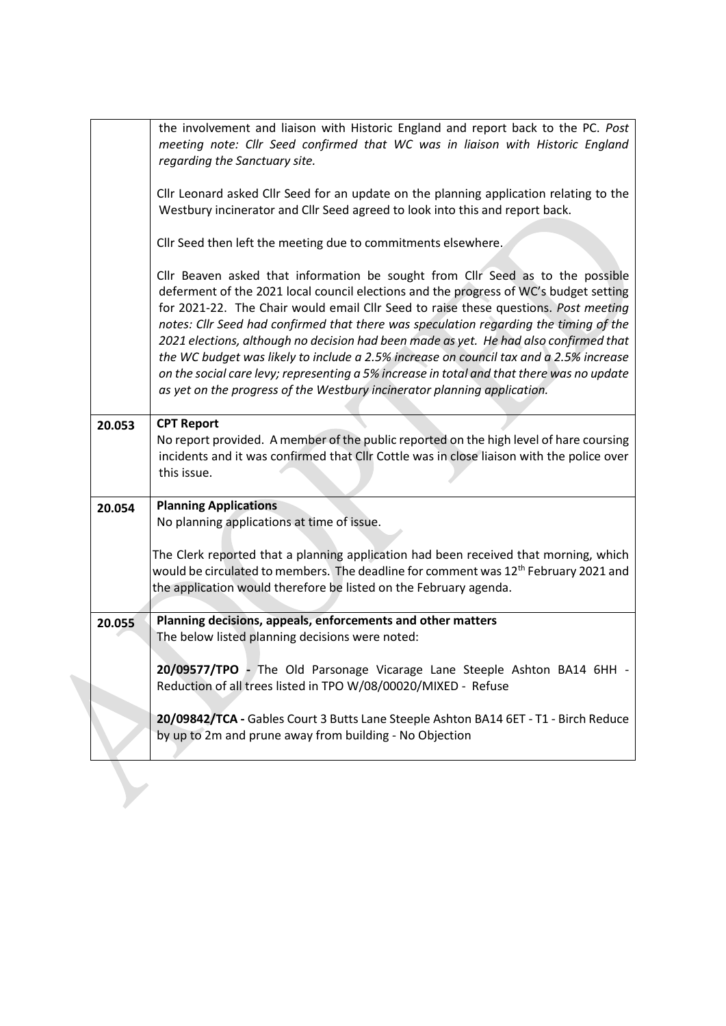|        | the involvement and liaison with Historic England and report back to the PC. Post<br>meeting note: Cllr Seed confirmed that WC was in liaison with Historic England<br>regarding the Sanctuary site.                                                                                                                                                                                                                                                                                                                                                                                                                                                                                                                |
|--------|---------------------------------------------------------------------------------------------------------------------------------------------------------------------------------------------------------------------------------------------------------------------------------------------------------------------------------------------------------------------------------------------------------------------------------------------------------------------------------------------------------------------------------------------------------------------------------------------------------------------------------------------------------------------------------------------------------------------|
|        | Cllr Leonard asked Cllr Seed for an update on the planning application relating to the<br>Westbury incinerator and Cllr Seed agreed to look into this and report back.                                                                                                                                                                                                                                                                                                                                                                                                                                                                                                                                              |
|        | Cllr Seed then left the meeting due to commitments elsewhere.                                                                                                                                                                                                                                                                                                                                                                                                                                                                                                                                                                                                                                                       |
|        | Cllr Beaven asked that information be sought from Cllr Seed as to the possible<br>deferment of the 2021 local council elections and the progress of WC's budget setting<br>for 2021-22. The Chair would email Cllr Seed to raise these questions. Post meeting<br>notes: Cllr Seed had confirmed that there was speculation regarding the timing of the<br>2021 elections, although no decision had been made as yet. He had also confirmed that<br>the WC budget was likely to include a 2.5% increase on council tax and a 2.5% increase<br>on the social care levy; representing a 5% increase in total and that there was no update<br>as yet on the progress of the Westbury incinerator planning application. |
| 20.053 | <b>CPT Report</b><br>No report provided. A member of the public reported on the high level of hare coursing                                                                                                                                                                                                                                                                                                                                                                                                                                                                                                                                                                                                         |
|        | incidents and it was confirmed that Cllr Cottle was in close liaison with the police over<br>this issue.                                                                                                                                                                                                                                                                                                                                                                                                                                                                                                                                                                                                            |
| 20.054 | <b>Planning Applications</b><br>No planning applications at time of issue.                                                                                                                                                                                                                                                                                                                                                                                                                                                                                                                                                                                                                                          |
|        |                                                                                                                                                                                                                                                                                                                                                                                                                                                                                                                                                                                                                                                                                                                     |
|        | The Clerk reported that a planning application had been received that morning, which                                                                                                                                                                                                                                                                                                                                                                                                                                                                                                                                                                                                                                |
|        | would be circulated to members. The deadline for comment was 12 <sup>th</sup> February 2021 and<br>the application would therefore be listed on the February agenda.                                                                                                                                                                                                                                                                                                                                                                                                                                                                                                                                                |
|        |                                                                                                                                                                                                                                                                                                                                                                                                                                                                                                                                                                                                                                                                                                                     |
| 20.055 | Planning decisions, appeals, enforcements and other matters<br>The below listed planning decisions were noted:                                                                                                                                                                                                                                                                                                                                                                                                                                                                                                                                                                                                      |
|        |                                                                                                                                                                                                                                                                                                                                                                                                                                                                                                                                                                                                                                                                                                                     |
|        | 20/09577/TPO - The Old Parsonage Vicarage Lane Steeple Ashton BA14 6HH -<br>Reduction of all trees listed in TPO W/08/00020/MIXED - Refuse                                                                                                                                                                                                                                                                                                                                                                                                                                                                                                                                                                          |
|        |                                                                                                                                                                                                                                                                                                                                                                                                                                                                                                                                                                                                                                                                                                                     |
|        | 20/09842/TCA - Gables Court 3 Butts Lane Steeple Ashton BA14 6ET - T1 - Birch Reduce<br>by up to 2m and prune away from building - No Objection                                                                                                                                                                                                                                                                                                                                                                                                                                                                                                                                                                     |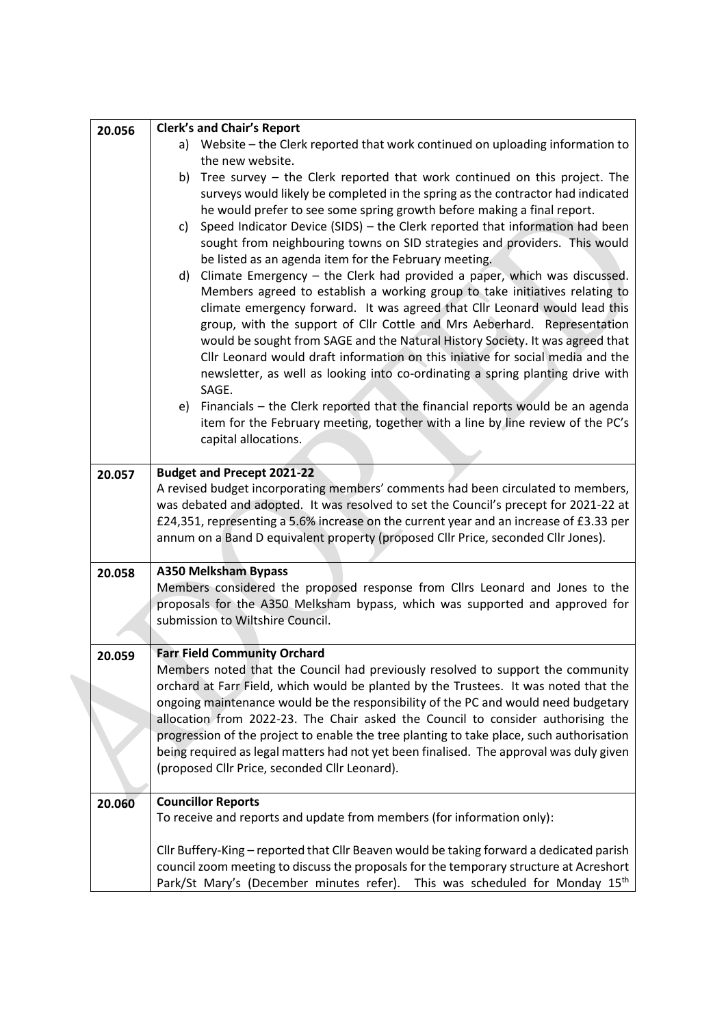| 20.056 | <b>Clerk's and Chair's Report</b>                                                                                                                                              |
|--------|--------------------------------------------------------------------------------------------------------------------------------------------------------------------------------|
|        | a) Website - the Clerk reported that work continued on uploading information to                                                                                                |
|        | the new website.                                                                                                                                                               |
|        | b) Tree survey - the Clerk reported that work continued on this project. The                                                                                                   |
|        | surveys would likely be completed in the spring as the contractor had indicated                                                                                                |
|        | he would prefer to see some spring growth before making a final report.                                                                                                        |
|        | Speed Indicator Device (SIDS) - the Clerk reported that information had been<br>c)                                                                                             |
|        | sought from neighbouring towns on SID strategies and providers. This would                                                                                                     |
|        | be listed as an agenda item for the February meeting.<br>Climate Emergency $-$ the Clerk had provided a paper, which was discussed.<br>d)                                      |
|        | Members agreed to establish a working group to take initiatives relating to                                                                                                    |
|        | climate emergency forward. It was agreed that Cllr Leonard would lead this                                                                                                     |
|        | group, with the support of Cllr Cottle and Mrs Aeberhard. Representation                                                                                                       |
|        | would be sought from SAGE and the Natural History Society. It was agreed that                                                                                                  |
|        | Cllr Leonard would draft information on this iniative for social media and the                                                                                                 |
|        | newsletter, as well as looking into co-ordinating a spring planting drive with<br>SAGE.                                                                                        |
|        | Financials - the Clerk reported that the financial reports would be an agenda<br>e)                                                                                            |
|        | item for the February meeting, together with a line by line review of the PC's                                                                                                 |
|        | capital allocations.                                                                                                                                                           |
|        |                                                                                                                                                                                |
| 20.057 | <b>Budget and Precept 2021-22</b>                                                                                                                                              |
|        | A revised budget incorporating members' comments had been circulated to members,                                                                                               |
|        | was debated and adopted. It was resolved to set the Council's precept for 2021-22 at<br>£24,351, representing a 5.6% increase on the current year and an increase of £3.33 per |
|        | annum on a Band D equivalent property (proposed Cllr Price, seconded Cllr Jones).                                                                                              |
|        |                                                                                                                                                                                |
| 20.058 | <b>A350 Melksham Bypass</b>                                                                                                                                                    |
|        | Members considered the proposed response from ClIrs Leonard and Jones to the                                                                                                   |
|        | proposals for the A350 Melksham bypass, which was supported and approved for                                                                                                   |
|        | submission to Wiltshire Council.                                                                                                                                               |
|        |                                                                                                                                                                                |
| 20.059 | <b>Farr Field Community Orchard</b>                                                                                                                                            |
|        | Members noted that the Council had previously resolved to support the community<br>orchard at Farr Field, which would be planted by the Trustees. It was noted that the        |
|        | ongoing maintenance would be the responsibility of the PC and would need budgetary                                                                                             |
|        | allocation from 2022-23. The Chair asked the Council to consider authorising the                                                                                               |
|        | progression of the project to enable the tree planting to take place, such authorisation                                                                                       |
|        | being required as legal matters had not yet been finalised. The approval was duly given                                                                                        |
|        | (proposed Cllr Price, seconded Cllr Leonard).                                                                                                                                  |
|        |                                                                                                                                                                                |
| 20.060 | <b>Councillor Reports</b>                                                                                                                                                      |
|        | To receive and reports and update from members (for information only):                                                                                                         |
|        | Cllr Buffery-King - reported that Cllr Beaven would be taking forward a dedicated parish                                                                                       |
|        | council zoom meeting to discuss the proposals for the temporary structure at Acreshort                                                                                         |
|        | Park/St Mary's (December minutes refer). This was scheduled for Monday 15th                                                                                                    |